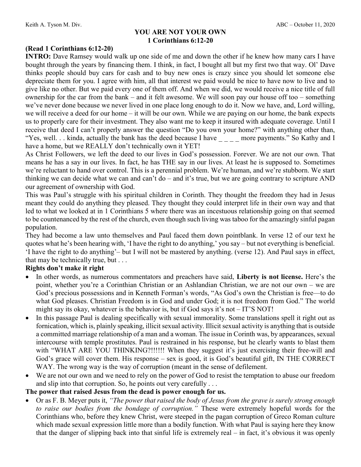#### YOU ARE NOT YOUR OWN 1 Corinthians 6:12-20

#### (Read 1 Corinthians 6:12-20)

INTRO: Dave Ramsey would walk up one side of me and down the other if he knew how many cars I have bought through the years by financing them. I think, in fact, I bought all but my first two that way. Ol' Dave thinks people should buy cars for cash and to buy new ones is crazy since you should let someone else depreciate them for you. I agree with him, all that interest we paid would be nice to have now to live and to give like no other. But we paid every one of them off. And when we did, we would receive a nice title of full ownership for the car from the bank – and it felt awesome. We will soon pay our house off too – something we've never done because we never lived in one place long enough to do it. Now we have, and, Lord willing, we will receive a deed for our home – it will be our own. While we are paying on our home, the bank expects us to properly care for their investment. They also want me to keep it insured with adequate coverage. Until I receive that deed I can't properly answer the question "Do you own your home?" with anything other than, "Yes, well. . . kinda, actually the bank has the deed because I have \_\_\_\_ more payments." So Kathy and I have a home, but we REALLY don't technically own it YET!

As Christ Followers, we left the deed to our lives in God's possession. Forever. We are not our own. That means he has a say in our lives. In fact, he has THE say in our lives. At least he is supposed to. Sometimes we're reluctant to hand over control. This is a perennial problem. We're human, and we're stubborn. We start thinking we can decide what we can and can't do – and it's true, but we are going contrary to scripture AND our agreement of ownership with God.

This was Paul's struggle with his spiritual children in Corinth. They thought the freedom they had in Jesus meant they could do anything they pleased. They thought they could interpret life in their own way and that led to what we looked at in 1 Corinthians 5 where there was an incestuous relationship going on that seemed to be countenanced by the rest of the church, even though such living was taboo for the amazingly sinful pagan population.

They had become a law unto themselves and Paul faced them down pointblank. In verse 12 of our text he quotes what he's been hearing with, 'I have the right to do anything,' you say – but not everything is beneficial. 'I have the right to do anything'– but I will not be mastered by anything. (verse 12). And Paul says in effect, that may be technically true, but . . .

## Rights don't make it right

- In other words, as numerous commentators and preachers have said, Liberty is not license. Here's the point, whether you're a Corinthian Christian or an Ashlandian Christian, we are not our own – we are God's precious possessions and in Kenneth Forman's words, "As God's own the Christian is free—to do what God pleases. Christian Freedom is in God and under God; it is not freedom from God." The world might say its okay, whatever is the behavior is, but if God says it's not – IT'S NOT!
- In this passage Paul is dealing specifically with sexual immorality. Some translations spell it right out as fornication, which is, plainly speaking, illicit sexual activity. Illicit sexual activity is anything that is outside a committed marriage relationship of a man and a woman. The issue in Corinth was, by appearances, sexual intercourse with temple prostitutes. Paul is restrained in his response, but he clearly wants to blast them with "WHAT ARE YOU THINKING?!!!!!! When they suggest it's just exercising their free-will and God's grace will cover them. His response – sex is good, it is God's beautiful gift, IN THE CORRECT WAY. The wrong way is the way of corruption (meant in the sense of defilement.
- We are not our own and we need to rely on the power of God to resist the temptation to abuse our freedom and slip into that corruption. So, he points out very carefully . . .

## The power that raised Jesus from the dead is power enough for us.

• Or as F. B. Meyer puts it, "The power that raised the body of Jesus from the grave is surely strong enough to raise our bodies from the bondage of corruption." These were extremely hopeful words for the Corinthians who, before they knew Christ, were steeped in the pagan corruption of Greco Roman culture which made sexual expression little more than a bodily function. With what Paul is saying here they know that the danger of slipping back into that sinful life is extremely real – in fact, it's obvious it was openly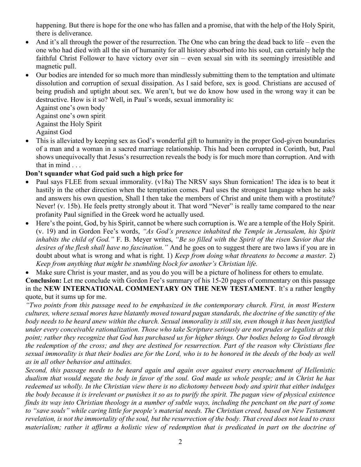happening. But there is hope for the one who has fallen and a promise, that with the help of the Holy Spirit, there is deliverance.

- And it's all through the power of the resurrection. The One who can bring the dead back to life even the one who had died with all the sin of humanity for all history absorbed into his soul, can certainly help the faithful Christ Follower to have victory over sin – even sexual sin with its seemingly irresistible and magnetic pull.
- Our bodies are intended for so much more than mindlessly submitting them to the temptation and ultimate dissolution and corruption of sexual dissipation. As I said before, sex is good. Christians are accused of being prudish and uptight about sex. We aren't, but we do know how used in the wrong way it can be destructive. How is it so? Well, in Paul's words, sexual immorality is:

Against one's own body Against one's own spirit Against the Holy Spirit Against God

 This is alleviated by keeping sex as God's wonderful gift to humanity in the proper God-given boundaries of a man and a woman in a sacred marriage relationship. This had been corrupted in Corinth, but, Paul shows unequivocally that Jesus's resurrection reveals the body is for much more than corruption. And with that in mind . . .

# Don't squander what God paid such a high price for

- Paul says FLEE from sexual immorality. (v18a) The NRSV says Shun fornication! The idea is to beat it hastily in the other direction when the temptation comes. Paul uses the strongest language when he asks and answers his own question, Shall I then take the members of Christ and unite them with a prostitute? Never! (v. 15b). He feels pretty strongly about it. That word "Never" is really tame compared to the near profanity Paul signified in the Greek word he actually used.
- Here's the point, God, by his Spirit, cannot be where such corruption is. We are a temple of the Holy Spirit. (v. 19) and in Gordon Fee's words, "As God's presence inhabited the Temple in Jerusalem, his Spirit inhabits the child of God." F. B. Meyer writes, "Be so filled with the Spirit of the risen Savior that the desires of the flesh shall have no fascination." And he goes on to suggest there are two laws if you are in doubt about what is wrong and what is right. 1) Keep from doing what threatens to become a master. 2) Keep from anything that might be stumbling block for another's Christian life.
- Make sure Christ is your master, and as you do you will be a picture of holiness for others to emulate.

Conclusion: Let me conclude with Gordon Fee's summary of his 15-20 pages of commentary on this passage in the NEW INTERNATIONAL COMMENTARY ON THE NEW TESTAMENT. It's a rather lengthy quote, but it sums up for me.

"Two points from this passage need to be emphasized in the contemporary church. First, in most Western cultures, where sexual mores have blatantly moved toward pagan standards, the doctrine of the sanctity of the body needs to be heard anew within the church. Sexual immorality is still sin, even though it has been justified under every conceivable rationalization. Those who take Scripture seriously are not prudes or legalists at this point; rather they recognize that God has purchased us for higher things. Our bodies belong to God through the redemption of the cross; and they are destined for resurrection. Part of the reason why Christians flee sexual immorality is that their bodies are for the Lord, who is to be honored in the deeds of the body as well as in all other behavior and attitudes.

Second, this passage needs to be heard again and again over against every encroachment of Hellenistic dualism that would negate the body in favor of the soul. God made us whole people; and in Christ he has redeemed us wholly. In the Christian view there is no dichotomy between body and spirit that either indulges the body because it is irrelevant or punishes it so as to purify the spirit. The pagan view of physical existence finds its way into Christian theology in a number of subtle ways, including the penchant on the part of some to "save souls" while caring little for people's material needs. The Christian creed, based on New Testament revelation, is not the immortality of the soul, but the resurrection of the body. That creed does not lead to crass materialism; rather it affirms a holistic view of redemption that is predicated in part on the doctrine of